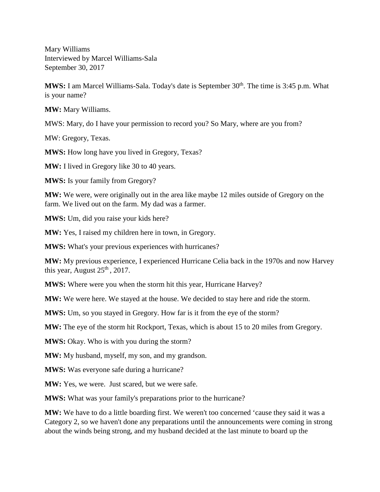Mary Williams Interviewed by Marcel Williams-Sala September 30, 2017

**MWS:** I am Marcel Williams-Sala. Today's date is September 30<sup>th</sup>. The time is 3:45 p.m. What is your name?

**MW:** Mary Williams.

MWS: Mary, do I have your permission to record you? So Mary, where are you from?

MW: Gregory, Texas.

**MWS:** How long have you lived in Gregory, Texas?

**MW:** I lived in Gregory like 30 to 40 years.

**MWS:** Is your family from Gregory?

**MW:** We were, were originally out in the area like maybe 12 miles outside of Gregory on the farm. We lived out on the farm. My dad was a farmer.

**MWS:** Um, did you raise your kids here?

**MW:** Yes, I raised my children here in town, in Gregory.

**MWS:** What's your previous experiences with hurricanes?

**MW:** My previous experience, I experienced Hurricane Celia back in the 1970s and now Harvey this year, August  $25<sup>th</sup>$ , 2017.

**MWS:** Where were you when the storm hit this year, Hurricane Harvey?

**MW:** We were here. We stayed at the house. We decided to stay here and ride the storm.

**MWS:** Um, so you stayed in Gregory. How far is it from the eye of the storm?

**MW:** The eye of the storm hit Rockport, Texas, which is about 15 to 20 miles from Gregory.

**MWS:** Okay. Who is with you during the storm?

**MW:** My husband, myself, my son, and my grandson.

**MWS:** Was everyone safe during a hurricane?

**MW:** Yes, we were. Just scared, but we were safe.

**MWS:** What was your family's preparations prior to the hurricane?

**MW:** We have to do a little boarding first. We weren't too concerned 'cause they said it was a Category 2, so we haven't done any preparations until the announcements were coming in strong about the winds being strong, and my husband decided at the last minute to board up the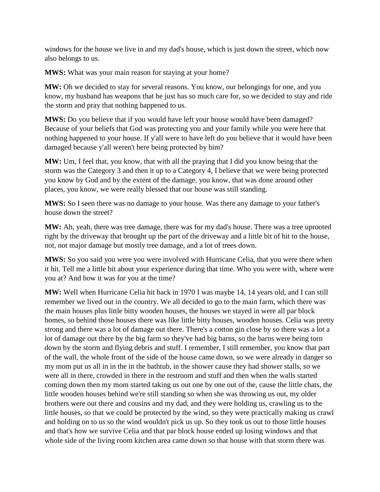windows for the house we live in and my dad's house, which is just down the street, which now also belongs to us.

**MWS:** What was your main reason for staying at your home?

**MW:** Oh we decided to stay for several reasons. You know, our belongings for one, and you know, my husband has weapons that he just has so much care for, so we decided to stay and ride the storm and pray that nothing happened to us.

**MWS:** Do you believe that if you would have left your house would have been damaged? Because of your beliefs that God was protecting you and your family while you were here that nothing happened to your house. If y'all were to have left do you believe that it would have been damaged because y'all weren't here being protected by him?

**MW:** Um, I feel that, you know, that with all the praying that I did you know being that the storm was the Category 3 and then it up to a Category 4, I believe that we were being protected you know by God and by the extent of the damage, you know, that was done around other places, you know, we were really blessed that our house was still standing.

**MWS:** So I seen there was no damage to your house. Was there any damage to your father's house down the street?

**MW:** Ah, yeah, there was tree damage, there was for my dad's house. There was a tree uprooted right by the driveway that brought up the part of the driveway and a little bit of hit to the house, not, not major damage but mostly tree damage, and a lot of trees down.

**MWS:** So you said you were you were involved with Hurricane Celia, that you were there when it hit. Tell me a little bit about your experience during that time. Who you were with, where were you at? And how it was for you at the time?

**MW:** Well when Hurricane Celia hit back in 1970 I was maybe 14, 14 years old, and I can still remember we lived out in the country. We all decided to go to the main farm, which there was the main houses plus little bitty wooden houses, the houses we stayed in were all par block homes, so behind those houses there was like little bitty houses, wooden houses. Celia was pretty strong and there was a lot of damage out there. There's a cotton gin close by so there was a lot a lot of damage out there by the big farm so they've had big barns, so the barns were being torn down by the storm and flying debris and stuff. I remember, I still remember, you know that part of the wall, the whole front of the side of the house came down, so we were already in danger so my mom put us all in in the in the bathtub, in the shower cause they had shower stalls, so we were all in there, crowded in there in the restroom and stuff and then when the walls started coming down then my mom started taking us out one by one out of the, cause the little chats, the little wooden houses behind we're still standing so when she was throwing us out, my older brothers were out there and cousins and my dad, and they were holding us, crawling us to the little houses, so that we could be protected by the wind, so they were practically making us crawl and holding on to us so the wind wouldn't pick us up. So they took us out to those little houses and that's how we survive Celia and that par block house ended up losing windows and that whole side of the living room kitchen area came down so that house with that storm there was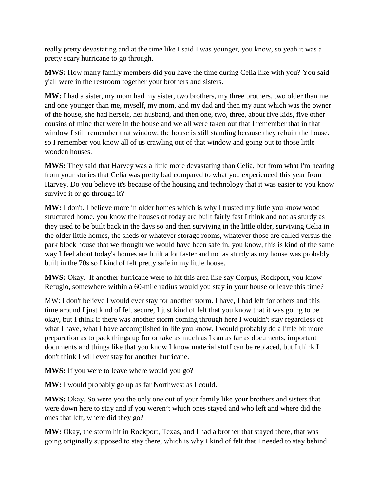really pretty devastating and at the time like I said I was younger, you know, so yeah it was a pretty scary hurricane to go through.

**MWS:** How many family members did you have the time during Celia like with you? You said y'all were in the restroom together your brothers and sisters.

**MW:** I had a sister, my mom had my sister, two brothers, my three brothers, two older than me and one younger than me, myself, my mom, and my dad and then my aunt which was the owner of the house, she had herself, her husband, and then one, two, three, about five kids, five other cousins of mine that were in the house and we all were taken out that I remember that in that window I still remember that window. the house is still standing because they rebuilt the house. so I remember you know all of us crawling out of that window and going out to those little wooden houses.

**MWS:** They said that Harvey was a little more devastating than Celia, but from what I'm hearing from your stories that Celia was pretty bad compared to what you experienced this year from Harvey. Do you believe it's because of the housing and technology that it was easier to you know survive it or go through it?

**MW:** I don't. I believe more in older homes which is why I trusted my little you know wood structured home. you know the houses of today are built fairly fast I think and not as sturdy as they used to be built back in the days so and then surviving in the little older, surviving Celia in the older little homes, the sheds or whatever storage rooms, whatever those are called versus the park block house that we thought we would have been safe in, you know, this is kind of the same way I feel about today's homes are built a lot faster and not as sturdy as my house was probably built in the 70s so I kind of felt pretty safe in my little house.

**MWS:** Okay. If another hurricane were to hit this area like say Corpus, Rockport, you know Refugio, somewhere within a 60-mile radius would you stay in your house or leave this time?

MW: I don't believe I would ever stay for another storm. I have, I had left for others and this time around I just kind of felt secure, I just kind of felt that you know that it was going to be okay, but I think if there was another storm coming through here I wouldn't stay regardless of what I have, what I have accomplished in life you know. I would probably do a little bit more preparation as to pack things up for or take as much as I can as far as documents, important documents and things like that you know I know material stuff can be replaced, but I think I don't think I will ever stay for another hurricane.

**MWS:** If you were to leave where would you go?

**MW:** I would probably go up as far Northwest as I could.

**MWS:** Okay. So were you the only one out of your family like your brothers and sisters that were down here to stay and if you weren't which ones stayed and who left and where did the ones that left, where did they go?

**MW:** Okay, the storm hit in Rockport, Texas, and I had a brother that stayed there, that was going originally supposed to stay there, which is why I kind of felt that I needed to stay behind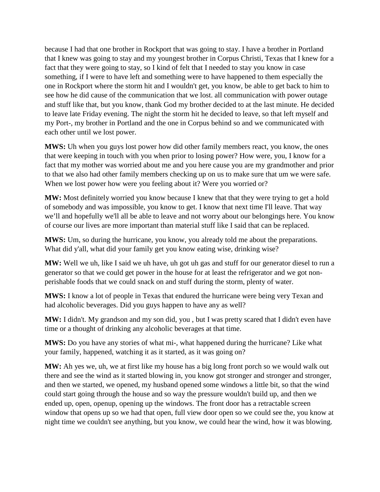because I had that one brother in Rockport that was going to stay. I have a brother in Portland that I knew was going to stay and my youngest brother in Corpus Christi, Texas that I knew for a fact that they were going to stay, so I kind of felt that I needed to stay you know in case something, if I were to have left and something were to have happened to them especially the one in Rockport where the storm hit and I wouldn't get, you know, be able to get back to him to see how he did cause of the communication that we lost. all communication with power outage and stuff like that, but you know, thank God my brother decided to at the last minute. He decided to leave late Friday evening. The night the storm hit he decided to leave, so that left myself and my Port-, my brother in Portland and the one in Corpus behind so and we communicated with each other until we lost power.

**MWS:** Uh when you guys lost power how did other family members react, you know, the ones that were keeping in touch with you when prior to losing power? How were, you, I know for a fact that my mother was worried about me and you here cause you are my grandmother and prior to that we also had other family members checking up on us to make sure that um we were safe. When we lost power how were you feeling about it? Were you worried or?

**MW:** Most definitely worried you know because I knew that that they were trying to get a hold of somebody and was impossible, you know to get. I know that next time I'll leave. That way we'll and hopefully we'll all be able to leave and not worry about our belongings here. You know of course our lives are more important than material stuff like I said that can be replaced.

**MWS:** Um, so during the hurricane, you know, you already told me about the preparations. What did y'all, what did your family get you know eating wise, drinking wise?

**MW:** Well we uh, like I said we uh have, uh got uh gas and stuff for our generator diesel to run a generator so that we could get power in the house for at least the refrigerator and we got nonperishable foods that we could snack on and stuff during the storm, plenty of water.

**MWS:** I know a lot of people in Texas that endured the hurricane were being very Texan and had alcoholic beverages. Did you guys happen to have any as well?

**MW:** I didn't. My grandson and my son did, you , but I was pretty scared that I didn't even have time or a thought of drinking any alcoholic beverages at that time.

**MWS:** Do you have any stories of what mi-, what happened during the hurricane? Like what your family, happened, watching it as it started, as it was going on?

**MW:** Ah yes we, uh, we at first like my house has a big long front porch so we would walk out there and see the wind as it started blowing in, you know got stronger and stronger and stronger, and then we started, we opened, my husband opened some windows a little bit, so that the wind could start going through the house and so way the pressure wouldn't build up, and then we ended up, open, openup, opening up the windows. The front door has a retractable screen window that opens up so we had that open, full view door open so we could see the, you know at night time we couldn't see anything, but you know, we could hear the wind, how it was blowing.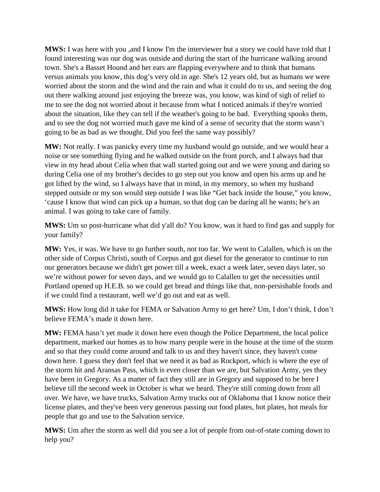**MWS:** I was here with you ,and I know I'm the interviewer but a story we could have told that I found interesting was our dog was outside and during the start of the hurricane walking around town. She's a Basset Hound and her ears are flapping everywhere and to think that humans versus animals you know, this dog's very old in age. She's 12 years old, but as humans we were worried about the storm and the wind and the rain and what it could do to us, and seeing the dog out there walking around just enjoying the breeze was, you know, was kind of sigh of relief to me to see the dog not worried about it because from what I noticed animals if they're worried about the situation, like they can tell if the weather's going to be bad. Everything spooks them, and to see the dog not worried much gave me kind of a sense of security that the storm wasn't going to be as bad as we thought. Did you feel the same way possibly?

**MW:** Not really. I was panicky every time my husband would go outside, and we would hear a noise or see something flying and he walked outside on the front porch, and I always had that view in my head about Celia when that wall started going out and we were young and daring so during Celia one of my brother's decides to go step out you know and open his arms up and he got lifted by the wind, so I always have that in mind, in my memory, so when my husband stepped outside or my son would step outside I was like "Get back inside the house," you know, 'cause I know that wind can pick up a human, so that dog can be daring all he wants; he's an animal. I was going to take care of family.

**MWS:** Um so post-hurricane what did y'all do? You know, was it hard to find gas and supply for your family?

**MW:** Yes, it was. We have to go further south, not too far. We went to Calallen, which is on the other side of Corpus Christi, south of Corpus and got diesel for the generator to continue to run our generators because we didn't get power till a week, exact a week later, seven days later, so we're without power for seven days, and we would go to Calallen to get the necessities until Portland opened up H.E.B. so we could get bread and things like that, non-persishable foods and if we could find a restaurant, well we'd go out and eat as well.

**MWS:** How long did it take for FEMA or Salvation Army to get here? Um, I don't think, I don't believe FEMA's made it down here.

**MW:** FEMA hasn't yet made it down here even though the Police Department, the local police department, marked our homes as to how many people were in the house at the time of the storm and so that they could come around and talk to us and they haven't since, they haven't come down here. I guess they don't feel that we need it as bad as Rockport, which is where the eye of the storm hit and Aransas Pass, which is even closer than we are, but Salvation Army, yes they have been in Gregory. As a matter of fact they still are in Gregory and supposed to be here I believe till the second week in October is what we heard. They're still coming down from all over. We have, we have trucks, Salvation Army trucks out of Oklahoma that I know notice their license plates, and they've been very generous passing out food plates, hot plates, hot meals for people that go and use to the Salvation service.

**MWS:** Um after the storm as well did you see a lot of people from out-of-state coming down to help you?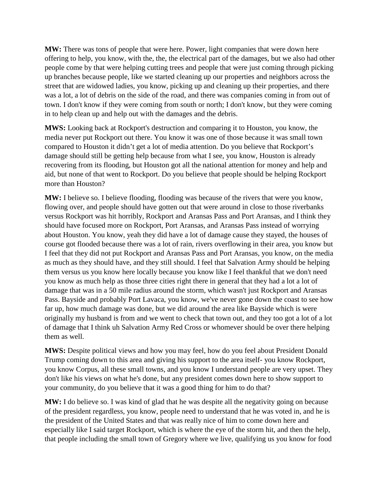**MW:** There was tons of people that were here. Power, light companies that were down here offering to help, you know, with the, the, the electrical part of the damages, but we also had other people come by that were helping cutting trees and people that were just coming through picking up branches because people, like we started cleaning up our properties and neighbors across the street that are widowed ladies, you know, picking up and cleaning up their properties, and there was a lot, a lot of debris on the side of the road, and there was companies coming in from out of town. I don't know if they were coming from south or north; I don't know, but they were coming in to help clean up and help out with the damages and the debris.

**MWS:** Looking back at Rockport's destruction and comparing it to Houston, you know, the media never put Rockport out there. You know it was one of those because it was small town compared to Houston it didn't get a lot of media attention. Do you believe that Rockport's damage should still be getting help because from what I see, you know, Houston is already recovering from its flooding, but Houston got all the national attention for money and help and aid, but none of that went to Rockport. Do you believe that people should be helping Rockport more than Houston?

**MW:** I believe so. I believe flooding, flooding was because of the rivers that were you know, flowing over, and people should have gotten out that were around in close to those riverbanks versus Rockport was hit horribly, Rockport and Aransas Pass and Port Aransas, and I think they should have focused more on Rockport, Port Aransas, and Aransas Pass instead of worrying about Houston. You know, yeah they did have a lot of damage cause they stayed, the houses of course got flooded because there was a lot of rain, rivers overflowing in their area, you know but I feel that they did not put Rockport and Aransas Pass and Port Aransas, you know, on the media as much as they should have, and they still should. I feel that Salvation Army should be helping them versus us you know here locally because you know like I feel thankful that we don't need you know as much help as those three cities right there in general that they had a lot a lot of damage that was in a 50 mile radius around the storm, which wasn't just Rockport and Aransas Pass. Bayside and probably Port Lavaca, you know, we've never gone down the coast to see how far up, how much damage was done, but we did around the area like Bayside which is were originally my husband is from and we went to check that town out, and they too got a lot of a lot of damage that I think uh Salvation Army Red Cross or whomever should be over there helping them as well.

**MWS:** Despite political views and how you may feel, how do you feel about President Donald Trump coming down to this area and giving his support to the area itself- you know Rockport, you know Corpus, all these small towns, and you know I understand people are very upset. They don't like his views on what he's done, but any president comes down here to show support to your community, do you believe that it was a good thing for him to do that?

**MW:** I do believe so. I was kind of glad that he was despite all the negativity going on because of the president regardless, you know, people need to understand that he was voted in, and he is the president of the United States and that was really nice of him to come down here and especially like I said target Rockport, which is where the eye of the storm hit, and then the help, that people including the small town of Gregory where we live, qualifying us you know for food